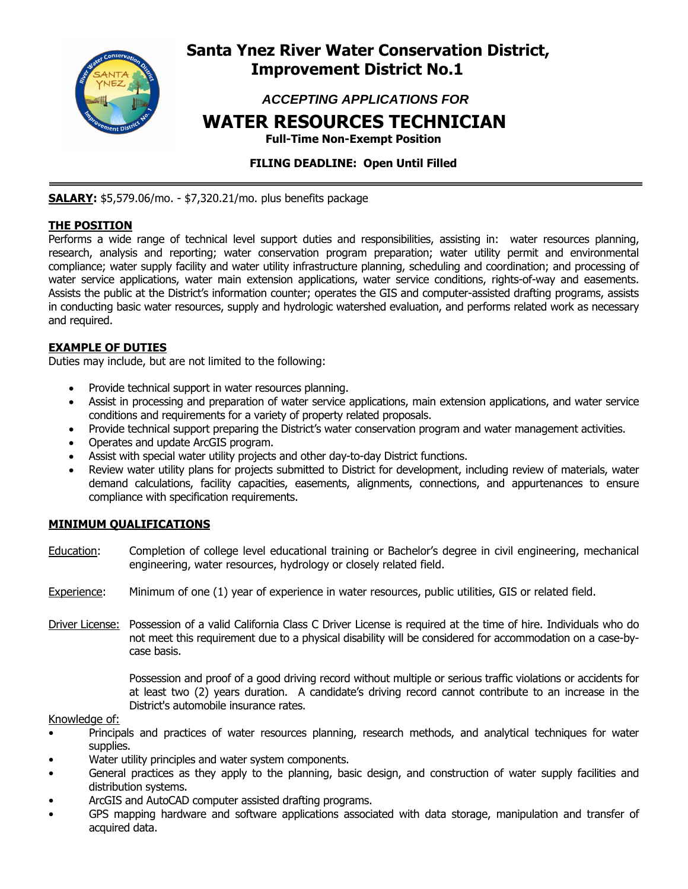

## **Santa Ynez River Water Conservation District, Improvement District No.1**

 *ACCEPTING APPLICATIONS FOR* 

# **WATER RESOURCES TECHNICIAN**

 **Full-Time Non-Exempt Position** 

## **FILING DEADLINE: Open Until Filled**

**SALARY:** \$5,579.06/mo. - \$7,320.21/mo. plus benefits package

## **THE POSITION**

Performs a wide range of technical level support duties and responsibilities, assisting in: water resources planning, research, analysis and reporting; water conservation program preparation; water utility permit and environmental compliance; water supply facility and water utility infrastructure planning, scheduling and coordination; and processing of water service applications, water main extension applications, water service conditions, rights-of-way and easements. Assists the public at the District's information counter; operates the GIS and computer-assisted drafting programs, assists in conducting basic water resources, supply and hydrologic watershed evaluation, and performs related work as necessary and required.

### **EXAMPLE OF DUTIES**

Duties may include, but are not limited to the following:

- Provide technical support in water resources planning.
- Assist in processing and preparation of water service applications, main extension applications, and water service conditions and requirements for a variety of property related proposals.
- Provide technical support preparing the District's water conservation program and water management activities.
- Operates and update ArcGIS program.
- Assist with special water utility projects and other day-to-day District functions.
- Review water utility plans for projects submitted to District for development, including review of materials, water demand calculations, facility capacities, easements, alignments, connections, and appurtenances to ensure compliance with specification requirements.

## **MINIMUM QUALIFICATIONS**

- Education: Completion of college level educational training or Bachelor's degree in civil engineering, mechanical engineering, water resources, hydrology or closely related field.
- Experience: Minimum of one (1) year of experience in water resources, public utilities, GIS or related field.
- Driver License: Possession of a valid California Class C Driver License is required at the time of hire. Individuals who do not meet this requirement due to a physical disability will be considered for accommodation on a case-bycase basis.

 Possession and proof of a good driving record without multiple or serious traffic violations or accidents for at least two (2) years duration. A candidate's driving record cannot contribute to an increase in the District's automobile insurance rates.

#### Knowledge of:

- Principals and practices of water resources planning, research methods, and analytical techniques for water supplies.
- Water utility principles and water system components.
- General practices as they apply to the planning, basic design, and construction of water supply facilities and distribution systems.
- ArcGIS and AutoCAD computer assisted drafting programs.
- GPS mapping hardware and software applications associated with data storage, manipulation and transfer of acquired data.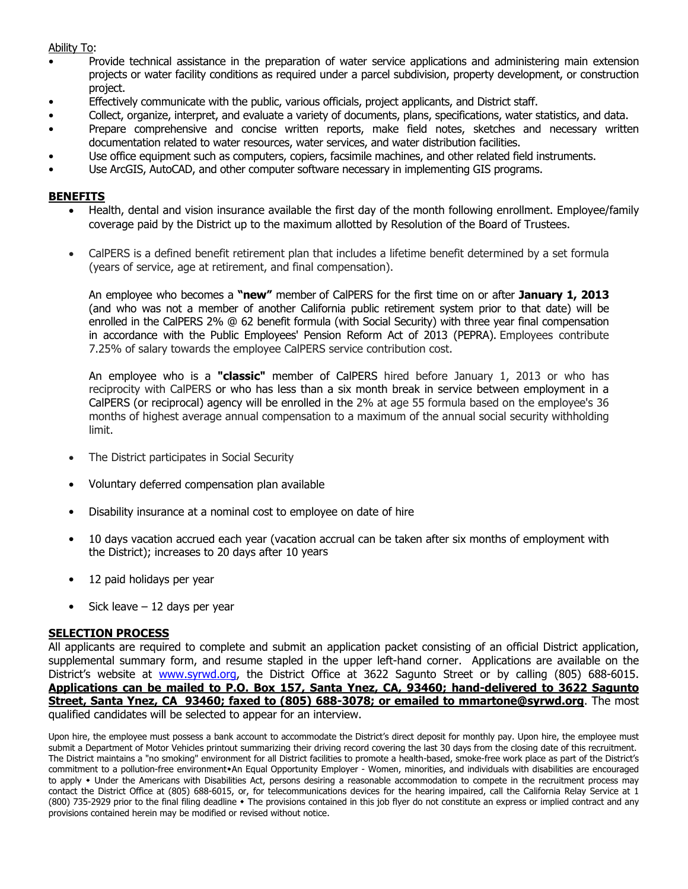#### Ability To:

- Provide technical assistance in the preparation of water service applications and administering main extension projects or water facility conditions as required under a parcel subdivision, property development, or construction project.
- Effectively communicate with the public, various officials, project applicants, and District staff.
- Collect, organize, interpret, and evaluate a variety of documents, plans, specifications, water statistics, and data.
- Prepare comprehensive and concise written reports, make field notes, sketches and necessary written documentation related to water resources, water services, and water distribution facilities.
- Use office equipment such as computers, copiers, facsimile machines, and other related field instruments.
- Use ArcGIS, AutoCAD, and other computer software necessary in implementing GIS programs.

#### **BENEFITS**

- Health, dental and vision insurance available the first day of the month following enrollment. Employee/family coverage paid by the District up to the maximum allotted by Resolution of the Board of Trustees.
- CalPERS is a defined benefit retirement plan that includes a lifetime benefit determined by a set formula (years of service, age at retirement, and final compensation).

An employee who becomes a **"new"** member of CalPERS for the first time on or after **January 1, 2013** (and who was not a member of another California public retirement system prior to that date) will be enrolled in the CalPERS 2% @ 62 benefit formula (with Social Security) with three year final compensation in accordance with the Public Employees' Pension Reform Act of 2013 (PEPRA). Employees contribute 7.25% of salary towards the employee CalPERS service contribution cost.

An employee who is a **"classic"** member of CalPERS hired before January 1, 2013 or who has reciprocity with CalPERS or who has less than a six month break in service between employment in a CalPERS (or reciprocal) agency will be enrolled in the 2% at age 55 formula based on the employee's 36 months of highest average annual compensation to a maximum of the annual social security withholding limit.

- The District participates in Social Security
- Voluntary deferred compensation plan available
- Disability insurance at a nominal cost to employee on date of hire
- 10 days vacation accrued each year (vacation accrual can be taken after six months of employment with the District); increases to 20 days after 10 years
- 12 paid holidays per year
- $\bullet$  Sick leave 12 days per year

#### **SELECTION PROCESS**

All applicants are required to complete and submit an application packet consisting of an official District application, supplemental summary form, and resume stapled in the upper left-hand corner. Applications are available on the District's website at www.syrwd.org, the District Office at 3622 Sagunto Street or by calling (805) 688-6015. **Applications can be mailed to P.O. Box 157, Santa Ynez, CA, 93460; hand-delivered to 3622 Sagunto Street, Santa Ynez, CA 93460; faxed to (805) 688-3078; or emailed to mmartone@syrwd.org**. The most qualified candidates will be selected to appear for an interview.

Upon hire, the employee must possess a bank account to accommodate the District's direct deposit for monthly pay. Upon hire, the employee must submit a Department of Motor Vehicles printout summarizing their driving record covering the last 30 days from the closing date of this recruitment. The District maintains a "no smoking" environment for all District facilities to promote a health-based, smoke-free work place as part of the District's commitment to a pollution-free environment\*An Equal Opportunity Employer - Women, minorities, and individuals with disabilities are encouraged to apply • Under the Americans with Disabilities Act, persons desiring a reasonable accommodation to compete in the recruitment process may contact the District Office at (805) 688-6015, or, for telecommunications devices for the hearing impaired, call the California Relay Service at 1 (800) 735-2929 prior to the final filing deadline The provisions contained in this job flyer do not constitute an express or implied contract and any provisions contained herein may be modified or revised without notice.